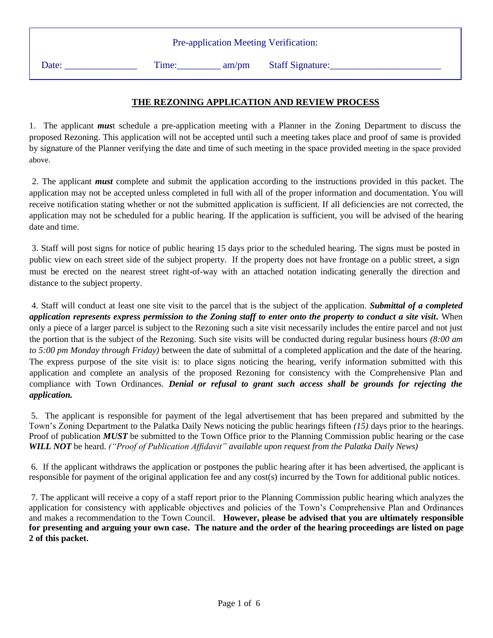| <b>Pre-application Meeting Verification:</b> |       |                        |  |  |  |
|----------------------------------------------|-------|------------------------|--|--|--|
| Date:                                        | Time: | am/pm Staff Signature: |  |  |  |

### **THE REZONING APPLICATION AND REVIEW PROCESS**

1. The applicant *mus*t schedule a pre-application meeting with a Planner in the Zoning Department to discuss the proposed Rezoning. This application will not be accepted until such a meeting takes place and proof of same is provided by signature of the Planner verifying the date and time of such meeting in the space provided meeting in the space provided above.

2. The applicant *must* complete and submit the application according to the instructions provided in this packet. The application may not be accepted unless completed in full with all of the proper information and documentation. You will receive notification stating whether or not the submitted application is sufficient. If all deficiencies are not corrected, the application may not be scheduled for a public hearing. If the application is sufficient, you will be advised of the hearing date and time.

3. Staff will post signs for notice of public hearing 15 days prior to the scheduled hearing. The signs must be posted in public view on each street side of the subject property. If the property does not have frontage on a public street, a sign must be erected on the nearest street right-of-way with an attached notation indicating generally the direction and distance to the subject property.

4. Staff will conduct at least one site visit to the parcel that is the subject of the application. *Submittal of a completed application represents express permission to the Zoning staff to enter onto the property to conduct a site visit.* When only a piece of a larger parcel is subject to the Rezoning such a site visit necessarily includes the entire parcel and not just the portion that is the subject of the Rezoning. Such site visits will be conducted during regular business hours *(8:00 am to 5:00 pm Monday through Friday)* between the date of submittal of a completed application and the date of the hearing. The express purpose of the site visit is: to place signs noticing the hearing, verify information submitted with this application and complete an analysis of the proposed Rezoning for consistency with the Comprehensive Plan and compliance with Town Ordinances. *Denial or refusal to grant such access shall be grounds for rejecting the application.* 

5. The applicant is responsible for payment of the legal advertisement that has been prepared and submitted by the Town's Zoning Department to the Palatka Daily News noticing the public hearings fifteen *(15)* days prior to the hearings. Proof of publication *MUST* be submitted to the Town Office prior to the Planning Commission public hearing or the case *WILL NOT* be heard. *("Proof of Publication Affidavit" available upon request from the Palatka Daily News)*

6. If the applicant withdraws the application or postpones the public hearing after it has been advertised, the applicant is responsible for payment of the original application fee and any cost(s) incurred by the Town for additional public notices.

7. The applicant will receive a copy of a staff report prior to the Planning Commission public hearing which analyzes the application for consistency with applicable objectives and policies of the Town's Comprehensive Plan and Ordinances and makes a recommendation to the Town Council. **However, please be advised that you are ultimately responsible for presenting and arguing your own case. The nature and the order of the hearing proceedings are listed on page 2 of this packet.**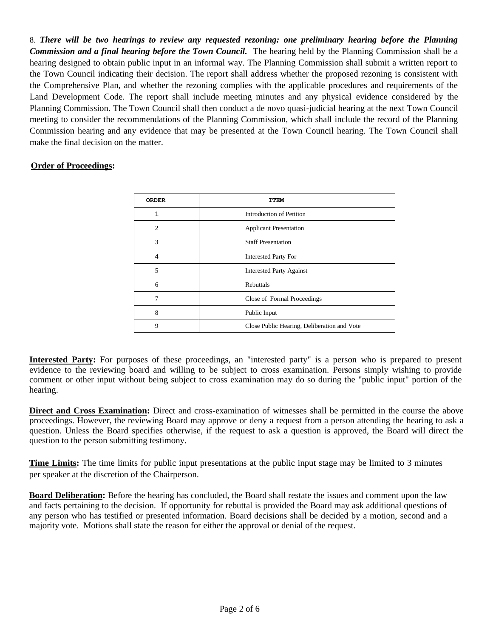8. *There will be two hearings to review any requested rezoning: one preliminary hearing before the Planning Commission and a final hearing before the Town Council.* The hearing held by the Planning Commission shall be a hearing designed to obtain public input in an informal way. The Planning Commission shall submit a written report to the Town Council indicating their decision. The report shall address whether the proposed rezoning is consistent with the Comprehensive Plan, and whether the rezoning complies with the applicable procedures and requirements of the Land Development Code. The report shall include meeting minutes and any physical evidence considered by the Planning Commission. The Town Council shall then conduct a de novo quasi-judicial hearing at the next Town Council meeting to consider the recommendations of the Planning Commission, which shall include the record of the Planning Commission hearing and any evidence that may be presented at the Town Council hearing. The Town Council shall make the final decision on the matter.

#### **Order of Proceedings:**

| <b>ORDER</b>   | <b>ITEM</b>                                 |  |
|----------------|---------------------------------------------|--|
|                | <b>Introduction of Petition</b>             |  |
| $\overline{c}$ | <b>Applicant Presentation</b>               |  |
| 3              | <b>Staff Presentation</b>                   |  |
| 4              | <b>Interested Party For</b>                 |  |
| 5              | <b>Interested Party Against</b>             |  |
| 6              | Rebuttals                                   |  |
| 7              | Close of Formal Proceedings                 |  |
| 8              | Public Input                                |  |
| 9              | Close Public Hearing, Deliberation and Vote |  |

**Interested Party:** For purposes of these proceedings, an "interested party" is a person who is prepared to present evidence to the reviewing board and willing to be subject to cross examination. Persons simply wishing to provide comment or other input without being subject to cross examination may do so during the "public input" portion of the hearing.

**Direct and Cross Examination:** Direct and cross-examination of witnesses shall be permitted in the course the above proceedings. However, the reviewing Board may approve or deny a request from a person attending the hearing to ask a question. Unless the Board specifies otherwise, if the request to ask a question is approved, the Board will direct the question to the person submitting testimony.

**Time Limits:** The time limits for public input presentations at the public input stage may be limited to 3 minutes per speaker at the discretion of the Chairperson.

**Board Deliberation:** Before the hearing has concluded, the Board shall restate the issues and comment upon the law and facts pertaining to the decision. If opportunity for rebuttal is provided the Board may ask additional questions of any person who has testified or presented information. Board decisions shall be decided by a motion, second and a majority vote. Motions shall state the reason for either the approval or denial of the request.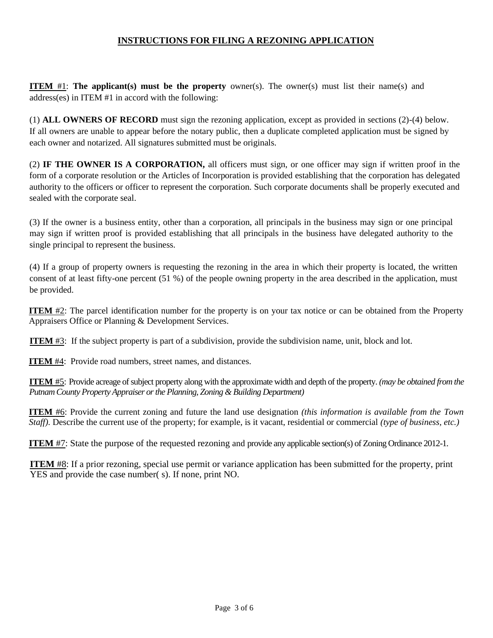### **INSTRUCTIONS FOR FILING A REZONING APPLICATION**

**ITEM** #1: **The applicant(s) must be the property** owner(s). The owner(s) must list their name(s) and address(es) in ITEM #1 in accord with the following:

(1) **ALL OWNERS OF RECORD** must sign the rezoning application, except as provided in sections (2)-(4) below. If all owners are unable to appear before the notary public, then a duplicate completed application must be signed by each owner and notarized. All signatures submitted must be originals.

(2) **IF THE OWNER IS A CORPORATION,** all officers must sign, or one officer may sign if written proof in the form of a corporate resolution or the Articles of Incorporation is provided establishing that the corporation has delegated authority to the officers or officer to represent the corporation. Such corporate documents shall be properly executed and sealed with the corporate seal.

(3) If the owner is a business entity, other than a corporation, all principals in the business may sign or one principal may sign if written proof is provided establishing that all principals in the business have delegated authority to the single principal to represent the business.

(4) If a group of property owners is requesting the rezoning in the area in which their property is located, the written consent of at least fifty-one percent (51 %) of the people owning property in the area described in the application, must be provided.

**ITEM** #2: The parcel identification number for the property is on your tax notice or can be obtained from the Property Appraisers Office or Planning & Development Services.

**ITEM** #3: If the subject property is part of a subdivision, provide the subdivision name, unit, block and lot.

**ITEM** #4: Provide road numbers, street names, and distances.

**ITEM** #5: Provide acreage of subject property along with the approximate width and depth of the property. *(may be obtained from the Putnam County Property Appraiser or the Planning, Zoning & Building Department)*

**ITEM** #6: Provide the current zoning and future the land use designation *(this information is available from the Town Staff).* Describe the current use of the property; for example, is it vacant, residential or commercial *(type of business, etc.)*

**ITEM** #7: State the purpose of the requested rezoning and provide any applicable section(s) of Zoning Ordinance 2012-1.

**ITEM** #8: If a prior rezoning, special use permit or variance application has been submitted for the property, print YES and provide the case number( s). If none, print NO.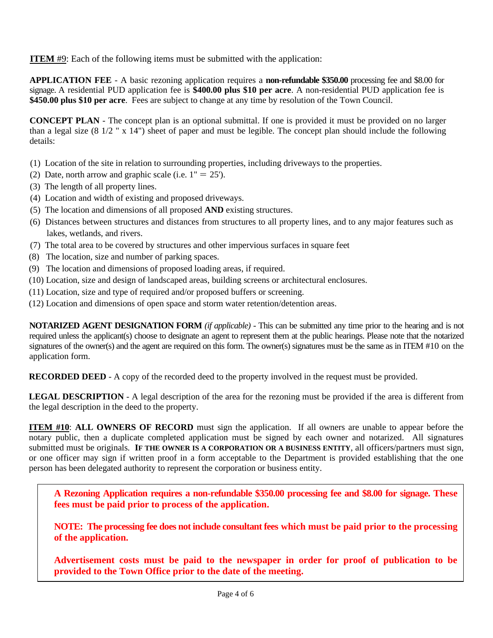**ITEM** #9: Each of the following items must be submitted with the application:

**APPLICATION FEE** - A basic rezoning application requires a **non-refundable \$350.00** processing fee and \$8.00 for signage. A residential PUD application fee is **\$400.00 plus \$10 per acre**. A non-residential PUD application fee is **\$450.00 plus \$10 per acre**. Fees are subject to change at any time by resolution of the Town Council.

**CONCEPT PLAN** - The concept plan is an optional submittal. If one is provided it must be provided on no larger than a legal size (8 1/2 " x 14") sheet of paper and must be legible. The concept plan should include the following details:

- (1) Location of the site in relation to surrounding properties, including driveways to the properties.
- (2) Date, north arrow and graphic scale (i.e.  $1'' = 25'$ ).
- (3) The length of all property lines.
- (4) Location and width of existing and proposed driveways.
- (5) The location and dimensions of all proposed **AND** existing structures.
- (6) Distances between structures and distances from structures to all property lines, and to any major features such as lakes, wetlands, and rivers.
- (7) The total area to be covered by structures and other impervious surfaces in square feet
- (8) The location, size and number of parking spaces.
- (9) The location and dimensions of proposed loading areas, if required.
- (10) Location, size and design of landscaped areas, building screens or architectural enclosures.
- (11) Location, size and type of required and/or proposed buffers or screening.
- (12) Location and dimensions of open space and storm water retention/detention areas.

**NOTARIZED AGENT DESIGNATION FORM** *(if applicable)* - This can be submitted any time prior to the hearing and is not required unless the applicant(s) choose to designate an agent to represent them at the public hearings. Please note that the notarized signatures of the owner(s) and the agent are required on this form. The owner(s) signatures must be the same as in ITEM #10 on the application form.

**RECORDED DEED** - A copy of the recorded deed to the property involved in the request must be provided.

**LEGAL DESCRIPTION** - A legal description of the area for the rezoning must be provided if the area is different from the legal description in the deed to the property.

**ITEM #10: ALL OWNERS OF RECORD** must sign the application. If all owners are unable to appear before the notary public, then a duplicate completed application must be signed by each owner and notarized. All signatures submitted must be originals. **IF THE OWNER IS A CORPORATION OR A BUSINESS ENTITY**, all officers/partners must sign, or one officer may sign if written proof in a form acceptable to the Department is provided establishing that the one person has been delegated authority to represent the corporation or business entity.

**A Rezoning Application requires a non-refundable \$350.00 processing fee and \$8.00 for signage. These fees must be paid prior to process of the application.**

**NOTE: The processing fee does not include consultant fees which must be paid prior to the processing of the application.** 

**Advertisement costs must be paid to the newspaper in order for proof of publication to be provided to the Town Office prior to the date of the meeting.**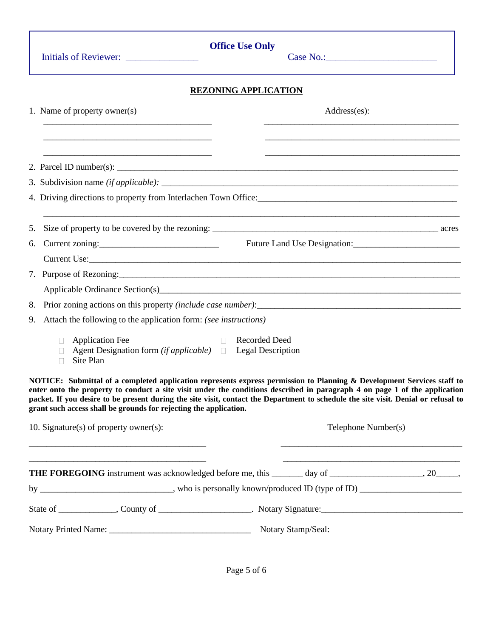|    | <b>Office Use Only</b>                                                                                                                                                                                                                                                                                                                                                                                                                                          |  |  |
|----|-----------------------------------------------------------------------------------------------------------------------------------------------------------------------------------------------------------------------------------------------------------------------------------------------------------------------------------------------------------------------------------------------------------------------------------------------------------------|--|--|
|    | <b>REZONING APPLICATION</b>                                                                                                                                                                                                                                                                                                                                                                                                                                     |  |  |
|    | 1. Name of property owner(s)<br>Address(es):                                                                                                                                                                                                                                                                                                                                                                                                                    |  |  |
|    |                                                                                                                                                                                                                                                                                                                                                                                                                                                                 |  |  |
|    | 2. Parcel ID number(s): $\frac{1}{2}$ and $\frac{1}{2}$ and $\frac{1}{2}$ and $\frac{1}{2}$ and $\frac{1}{2}$ and $\frac{1}{2}$ and $\frac{1}{2}$ and $\frac{1}{2}$ and $\frac{1}{2}$ and $\frac{1}{2}$ and $\frac{1}{2}$ and $\frac{1}{2}$ and $\frac{1}{2}$ and $\frac{1}{2}$ and                                                                                                                                                                             |  |  |
|    |                                                                                                                                                                                                                                                                                                                                                                                                                                                                 |  |  |
|    |                                                                                                                                                                                                                                                                                                                                                                                                                                                                 |  |  |
| 5. | ,我们就会在这里的人,我们就会在这里的人,我们就会在这里的人,我们就会在这里,我们就会在这里,我们就会在这里,我们就会在这里,我们就会在这里,我们就会在这里,我<br>第251章 我们的人,我们就会在这里,我们就会在这里,我们就会在这里,我们就会在这里,我们就会在这里,我们就会在这里,我们就会在这里,我们就会在这里,我们就会在                                                                                                                                                                                                                                                                                            |  |  |
| 6. |                                                                                                                                                                                                                                                                                                                                                                                                                                                                 |  |  |
|    |                                                                                                                                                                                                                                                                                                                                                                                                                                                                 |  |  |
|    |                                                                                                                                                                                                                                                                                                                                                                                                                                                                 |  |  |
|    |                                                                                                                                                                                                                                                                                                                                                                                                                                                                 |  |  |
| 8. |                                                                                                                                                                                                                                                                                                                                                                                                                                                                 |  |  |
| 9. | Attach the following to the application form: (see instructions)                                                                                                                                                                                                                                                                                                                                                                                                |  |  |
|    | <b>Application Fee</b><br><b>Recorded Deed</b><br>$\Box$<br>Agent Designation form ( <i>if applicable</i> ) $\Box$ Legal Description<br>$\mathbb{R}^n$<br>Site Plan                                                                                                                                                                                                                                                                                             |  |  |
|    | NOTICE: Submittal of a completed application represents express permission to Planning & Development Services staff to<br>enter onto the property to conduct a site visit under the conditions described in paragraph 4 on page 1 of the application<br>packet. If you desire to be present during the site visit, contact the Department to schedule the site visit. Denial or refusal to<br>grant such access shall be grounds for rejecting the application. |  |  |
|    | 10. Signature(s) of property owner(s):<br>Telephone Number(s)                                                                                                                                                                                                                                                                                                                                                                                                   |  |  |
|    | THE FOREGOING instrument was acknowledged before me, this ______ day of __________________, 20_____,                                                                                                                                                                                                                                                                                                                                                            |  |  |
|    |                                                                                                                                                                                                                                                                                                                                                                                                                                                                 |  |  |
|    | State of ______________, County of _______________________. Notary Signature: ________________________________                                                                                                                                                                                                                                                                                                                                                  |  |  |
|    |                                                                                                                                                                                                                                                                                                                                                                                                                                                                 |  |  |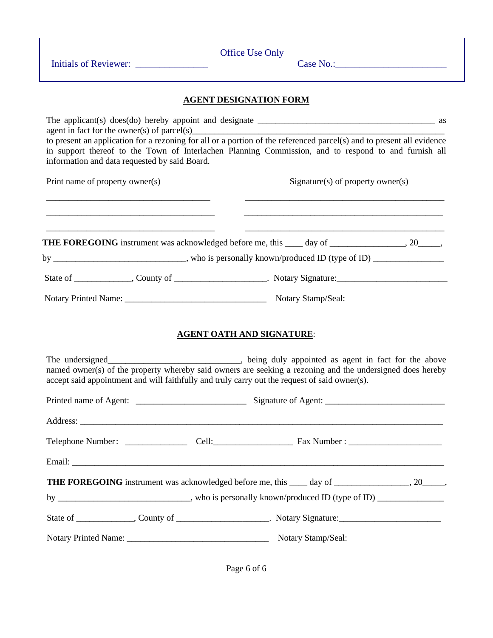|                                               | <b>Office Use Only</b>                                                                                                                                                                                                                                                                                                                 |
|-----------------------------------------------|----------------------------------------------------------------------------------------------------------------------------------------------------------------------------------------------------------------------------------------------------------------------------------------------------------------------------------------|
|                                               | <b>AGENT DESIGNATION FORM</b>                                                                                                                                                                                                                                                                                                          |
|                                               |                                                                                                                                                                                                                                                                                                                                        |
| information and data requested by said Board. | to present an application for a rezoning for all or a portion of the referenced parcel(s) and to present all evidence<br>in support thereof to the Town of Interlachen Planning Commission, and to respond to and furnish all                                                                                                          |
| Print name of property owner(s)               | $Sigma(s)$ of property owner(s)                                                                                                                                                                                                                                                                                                        |
|                                               | <u> 1989 - Johann Stoff, deutscher Stoff, der Stoff, der Stoff, der Stoff, der Stoff, der Stoff, der Stoff, der S</u><br>THE FOREGOING instrument was acknowledged before me, this ____ day of _______________, 20_____,<br>by ___________________________________, who is personally known/produced ID (type of ID) _________________ |
|                                               |                                                                                                                                                                                                                                                                                                                                        |
|                                               |                                                                                                                                                                                                                                                                                                                                        |
|                                               | <b>AGENT OATH AND SIGNATURE:</b>                                                                                                                                                                                                                                                                                                       |
|                                               |                                                                                                                                                                                                                                                                                                                                        |
|                                               | The undersigned______________________________, being duly appointed as agent in fact for the above<br>named owner(s) of the property whereby said owners are seeking a rezoning and the undersigned does hereby<br>accept said appointment and will faithfully and truly carry out the request of said owner(s).                       |

by \_\_\_\_\_\_\_\_\_\_\_\_\_\_\_\_\_\_\_\_\_\_\_\_\_\_\_, who is personally known/produced ID (type of ID) \_\_\_\_\_\_\_\_\_\_\_\_\_\_\_\_\_\_\_

State of \_\_\_\_\_\_\_\_\_\_\_\_\_, County of \_\_\_\_\_\_\_\_\_\_\_\_\_\_\_\_\_\_\_\_\_. Notary Signature:\_\_\_\_\_\_\_\_\_\_\_\_\_\_\_\_\_\_\_\_\_\_\_

Email: \_\_\_\_\_\_\_\_\_\_\_\_\_\_\_\_\_\_\_\_\_\_\_\_\_\_\_\_\_\_\_\_\_\_\_\_\_\_\_\_\_\_\_\_\_\_\_\_\_\_\_\_\_\_\_\_\_\_\_\_\_\_\_\_\_\_\_\_\_\_\_\_\_\_\_\_\_\_\_\_\_\_\_\_

**THE FOREGOING** instrument was acknowledged before me, this \_\_\_\_ day of \_\_\_\_\_\_\_\_\_\_\_\_\_, 20\_\_\_\_\_,

Notary Printed Name: \_\_\_\_\_\_\_\_\_\_\_\_\_\_\_\_\_\_\_\_\_\_\_\_\_\_\_\_\_\_\_\_ Notary Stamp/Seal:

Page 6 of 6